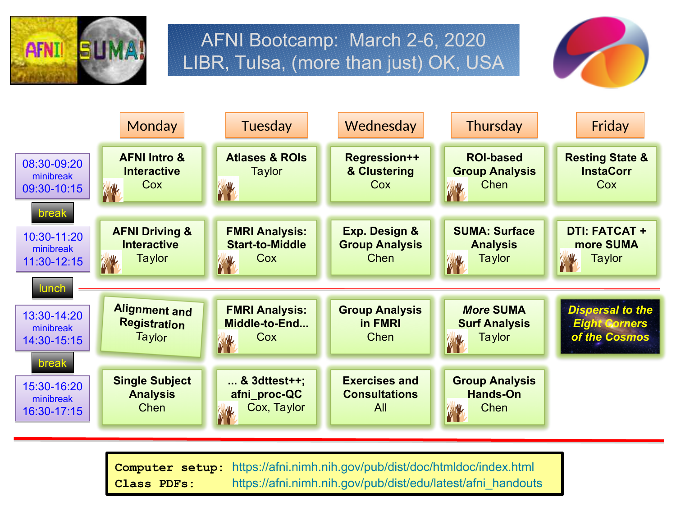

## AFNI Bootcamp: March 2-6, 2020 LIBR, Tulsa, (more than just) OK, USA





**Computer setup:** <https://afni.nimh.nih.gov/pub/dist/doc/htmldoc/index.html> **Class PDFs:** [https://afni.nimh.nih.gov/pub/dist/edu/latest/afni\\_handouts](https://afni.nimh.nih.gov/pub/dist/edu/latest/afni_handouts)